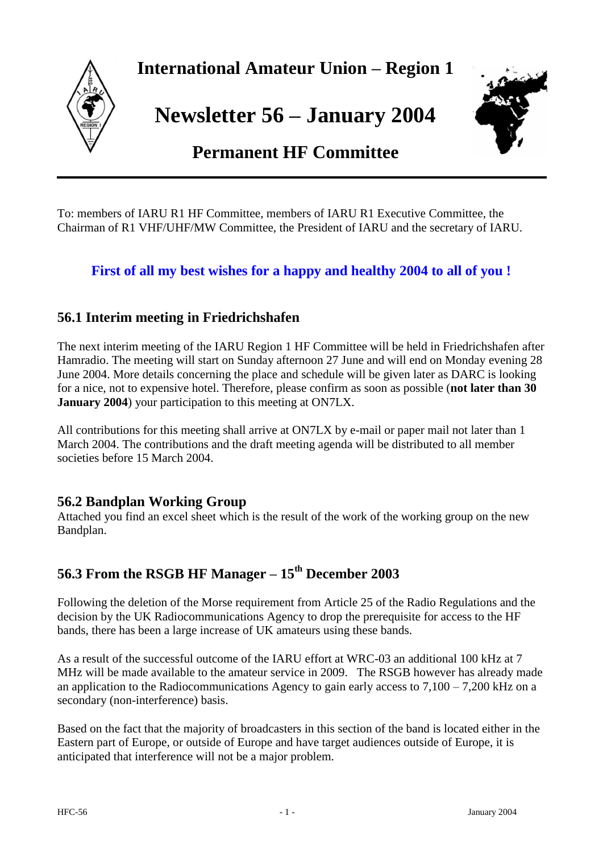

**International Amateur Union – Region 1**

**Newsletter 56 – January 2004**



# **Permanent HF Committee**

To: members of IARU R1 HF Committee, members of IARU R1 Executive Committee, the Chairman of R1 VHF/UHF/MW Committee, the President of IARU and the secretary of IARU.

## **First of all my best wishes for a happy and healthy 2004 to all of you !**

## **56.1 Interim meeting in Friedrichshafen**

The next interim meeting of the IARU Region 1 HF Committee will be held in Friedrichshafen after Hamradio. The meeting will start on Sunday afternoon 27 June and will end on Monday evening 28 June 2004. More details concerning the place and schedule will be given later as DARC is looking for a nice, not to expensive hotel. Therefore, please confirm as soon as possible (**not later than 30 January 2004**) your participation to this meeting at ON7LX.

All contributions for this meeting shall arrive at ON7LX by e-mail or paper mail not later than 1 March 2004. The contributions and the draft meeting agenda will be distributed to all member societies before 15 March 2004.

### **56.2 Bandplan Working Group**

Attached you find an excel sheet which is the result of the work of the working group on the new Bandplan.

## **56.3 From the RSGB HF Manager – 15th December 2003**

Following the deletion of the Morse requirement from Article 25 of the Radio Regulations and the decision by the UK Radiocommunications Agency to drop the prerequisite for access to the HF bands, there has been a large increase of UK amateurs using these bands.

As a result of the successful outcome of the IARU effort at WRC-03 an additional 100 kHz at 7 MHz will be made available to the amateur service in 2009. The RSGB however has already made an application to the Radiocommunications Agency to gain early access to  $7,100 - 7,200$  kHz on a secondary (non-interference) basis.

Based on the fact that the majority of broadcasters in this section of the band is located either in the Eastern part of Europe, or outside of Europe and have target audiences outside of Europe, it is anticipated that interference will not be a major problem.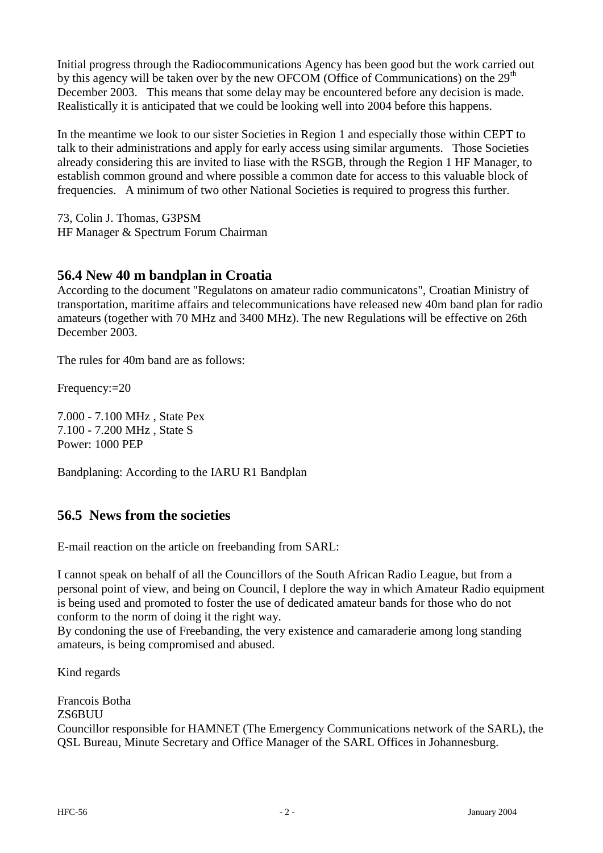Initial progress through the Radiocommunications Agency has been good but the work carried out by this agency will be taken over by the new OFCOM (Office of Communications) on the  $29<sup>th</sup>$ December 2003. This means that some delay may be encountered before any decision is made. Realistically it is anticipated that we could be looking well into 2004 before this happens.

In the meantime we look to our sister Societies in Region 1 and especially those within CEPT to talk to their administrations and apply for early access using similar arguments. Those Societies already considering this are invited to liase with the RSGB, through the Region 1 HF Manager, to establish common ground and where possible a common date for access to this valuable block of frequencies. A minimum of two other National Societies is required to progress this further.

73, Colin J. Thomas, G3PSM HF Manager & Spectrum Forum Chairman

### **56.4 New 40 m bandplan in Croatia**

According to the document "Regulatons on amateur radio communicatons", Croatian Ministry of transportation, maritime affairs and telecommunications have released new 40m band plan for radio amateurs (together with 70 MHz and 3400 MHz). The new Regulations will be effective on 26th December 2003.

The rules for 40m band are as follows:

Frequency:=20

7.000 - 7.100 MHz , State Pex 7.100 - 7.200 MHz , State S Power: 1000 PEP

Bandplaning: According to the IARU R1 Bandplan

## **56.5 News from the societies**

E-mail reaction on the article on freebanding from SARL:

I cannot speak on behalf of all the Councillors of the South African Radio League, but from a personal point of view, and being on Council, I deplore the way in which Amateur Radio equipment is being used and promoted to foster the use of dedicated amateur bands for those who do not conform to the norm of doing it the right way.

By condoning the use of Freebanding, the very existence and camaraderie among long standing amateurs, is being compromised and abused.

Kind regards

Francois Botha ZS6BUU Councillor responsible for HAMNET (The Emergency Communications network of the SARL), the QSL Bureau, Minute Secretary and Office Manager of the SARL Offices in Johannesburg.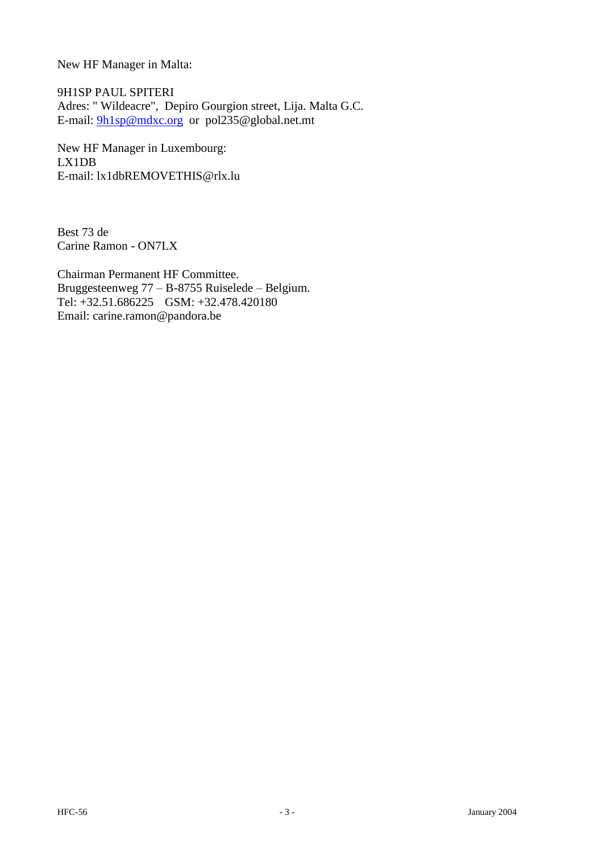New HF Manager in Malta:

9H1SP PAUL SPITERI Adres: " Wildeacre", Depiro Gourgion street, Lija. Malta G.C. E-mail: [9h1sp@mdxc.org](mailto:9h1sp@mdxc.org) or pol235@global.net.mt

New HF Manager in Luxembourg: LX1DB E-mail: lx1dbREMOVETHIS@rlx.lu

Best 73 de Carine Ramon - ON7LX

Chairman Permanent HF Committee. Bruggesteenweg 77 – B-8755 Ruiselede – Belgium. Tel: +32.51.686225 GSM: +32.478.420180 Email: carine.ramon@pandora.be